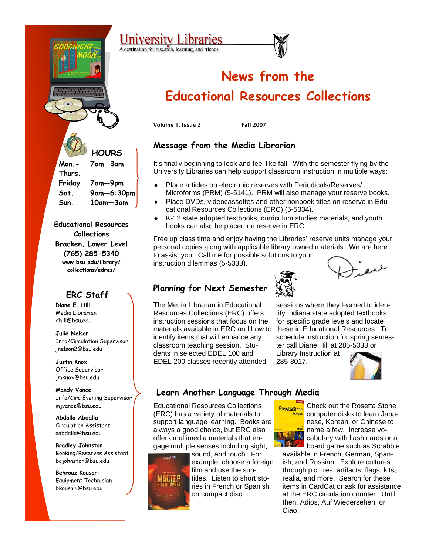

**Educational Resources Collections Bracken, Lower Level (765) 285-5340 www.bsu.edu/library/ collections/edres/** 

### **ERC Staff**

**Diane E. Hill**  Media Librarian dhill@bsu.edu

**Julie Nelson**  Info/Circulation Supervisor jnelson2@bsu.edu

**Justin Knox** Office Supervisor jmknox@bsu.edu

**Mandy Vance**  Info/Circ Evening Supervisor mjvance@bsu.edu

**Abdalla Abdalla**  Circulation Assistant aabdalla@bsu.edu

**Bradley Johnston**  Booking/Reserves Assistant bcjohnston@bsu.edu

**Behrouz Kousari**  Equipment Technician bkousari@bsu.edu

# **News from the Educational Resources Collections**

Volume 1, Issue 2 Fall 2007

## **Message from the Media Librarian**

It's finally beginning to look and feel like fall! With the semester flying by the University Libraries can help support classroom instruction in multiple ways:

- ♦ Place articles on electronic reserves with Periodicals/Reserves/ Microforms (PRM) (5-5141). PRM will also manage your reserve books.
- Place DVDs, videocassettes and other nonbook titles on reserve in Educational Resources Collections (ERC) (5-5334).
- K-12 state adopted textbooks, curriculum studies materials, and youth books can also be placed on reserve in ERC.

Free up class time and enjoy having the Libraries' reserve units manage your personal copies along with applicable library owned materials. We are here to assist you. Call me for possible solutions to your

instruction dilemmas (5-5333).

## **Planning for Next Semester**



The Media Librarian in Educational Resources Collections (ERC) offers instruction sessions that focus on the materials available in ERC and how to identify items that will enhance any classroom teaching session. Students in selected EDEL 100 and EDEL 200 classes recently attended

sessions where they learned to identify Indiana state adopted textbooks for specific grade levels and locate these in Educational Resources. To schedule instruction for spring semester call Diane Hill at 285-5333 or

Library Instruction at 285-8017.



## **Learn Another Language Through Media**

Educational Resources Collections (ERC) has a variety of materials to support language learning. Books are always a good choice, but ERC also offers multimedia materials that engage multiple senses including sight,



sound, and touch. For example, choose a foreign film and use the subtitles. Listen to short stories in French or Spanish on compact disc.



Check out the Rosetta Stone computer disks to learn Japanese, Korean, or Chinese to name a few. Increase vocabulary with flash cards or a board game such as Scrabble

available in French, German, Spanish, and Russian. Explore cultures through pictures, artifacts, flags, kits, realia, and more. Search for these items in CardCat or ask for assistance at the ERC circulation counter. Until then, Adios, Auf Wiedersehen, or Ciao.